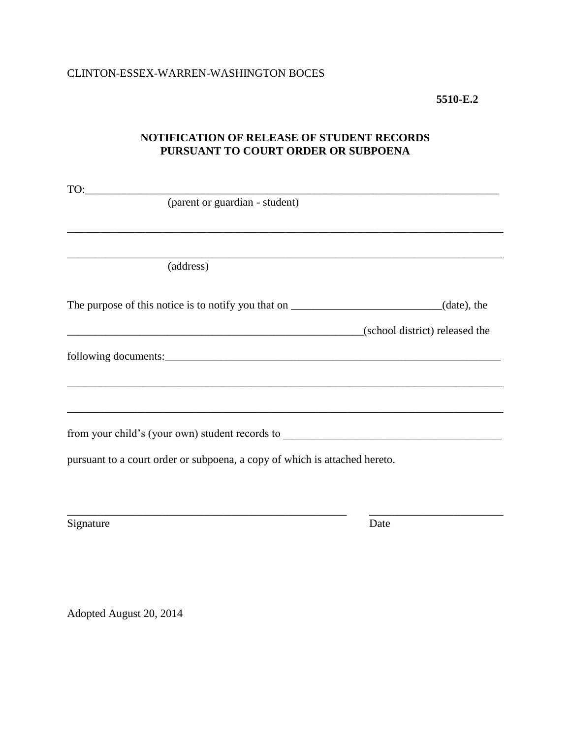### **5510-E.2**

# **NOTIFICATION OF RELEASE OF STUDENT RECORDS PURSUANT TO COURT ORDER OR SUBPOENA**

| TO:                                                                        |
|----------------------------------------------------------------------------|
| (parent or guardian - student)                                             |
|                                                                            |
|                                                                            |
|                                                                            |
| (address)                                                                  |
|                                                                            |
|                                                                            |
| The purpose of this notice is to notify you that on $\Box$ (date), the     |
| (school district) released the                                             |
|                                                                            |
|                                                                            |
|                                                                            |
|                                                                            |
|                                                                            |
|                                                                            |
| from your child's (your own) student records to                            |
| pursuant to a court order or subpoena, a copy of which is attached hereto. |
|                                                                            |
|                                                                            |

\_\_\_\_\_\_\_\_\_\_\_\_\_\_\_\_\_\_\_\_\_\_\_\_\_\_\_\_\_\_\_\_\_\_\_\_\_\_\_\_\_\_\_\_\_\_\_\_\_\_ \_\_\_\_\_\_\_\_\_\_\_\_\_\_\_\_\_\_\_\_\_\_\_\_

Signature Date

Adopted August 20, 2014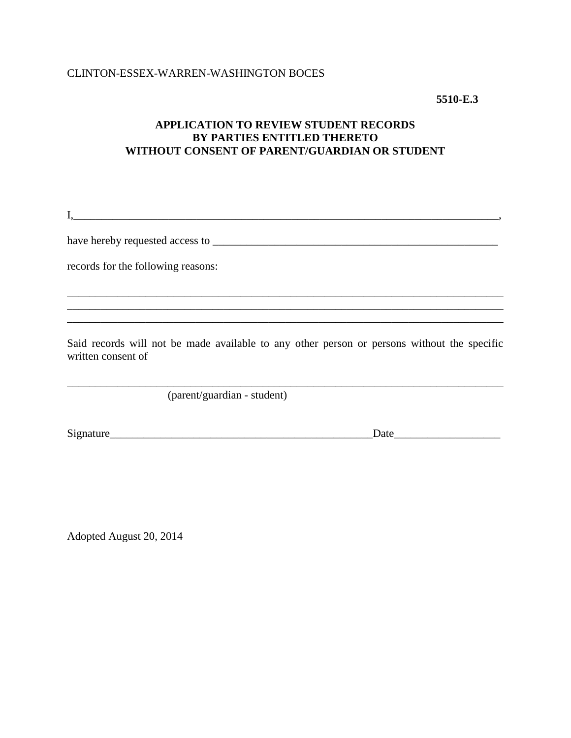## CLINTON-ESSEX-WARREN-WASHINGTON BOCES

**5510-E.3**

# **APPLICATION TO REVIEW STUDENT RECORDS BY PARTIES ENTITLED THERETO WITHOUT CONSENT OF PARENT/GUARDIAN OR STUDENT**

I,\_\_\_\_\_\_\_\_\_\_\_\_\_\_\_\_\_\_\_\_\_\_\_\_\_\_\_\_\_\_\_\_\_\_\_\_\_\_\_\_\_\_\_\_\_\_\_\_\_\_\_\_\_\_\_\_\_\_\_\_\_\_\_\_\_\_\_\_\_\_\_\_\_\_\_\_,

have hereby requested access to \_\_\_\_\_\_\_\_\_\_\_\_\_\_\_\_\_\_\_\_\_\_\_\_\_\_\_\_\_\_\_\_\_\_\_\_\_\_\_\_\_\_\_\_\_\_\_\_\_\_\_

records for the following reasons:

Said records will not be made available to any other person or persons without the specific written consent of

\_\_\_\_\_\_\_\_\_\_\_\_\_\_\_\_\_\_\_\_\_\_\_\_\_\_\_\_\_\_\_\_\_\_\_\_\_\_\_\_\_\_\_\_\_\_\_\_\_\_\_\_\_\_\_\_\_\_\_\_\_\_\_\_\_\_\_\_\_\_\_\_\_\_\_\_\_\_

\_\_\_\_\_\_\_\_\_\_\_\_\_\_\_\_\_\_\_\_\_\_\_\_\_\_\_\_\_\_\_\_\_\_\_\_\_\_\_\_\_\_\_\_\_\_\_\_\_\_\_\_\_\_\_\_\_\_\_\_\_\_\_\_\_\_\_\_\_\_\_\_\_\_\_\_\_\_

(parent/guardian - student)

Signature\_\_\_\_\_\_\_\_\_\_\_\_\_\_\_\_\_\_\_\_\_\_\_\_\_\_\_\_\_\_\_\_\_\_\_\_\_\_\_\_\_\_\_\_\_\_\_Date\_\_\_\_\_\_\_\_\_\_\_\_\_\_\_\_\_\_\_

Adopted August 20, 2014